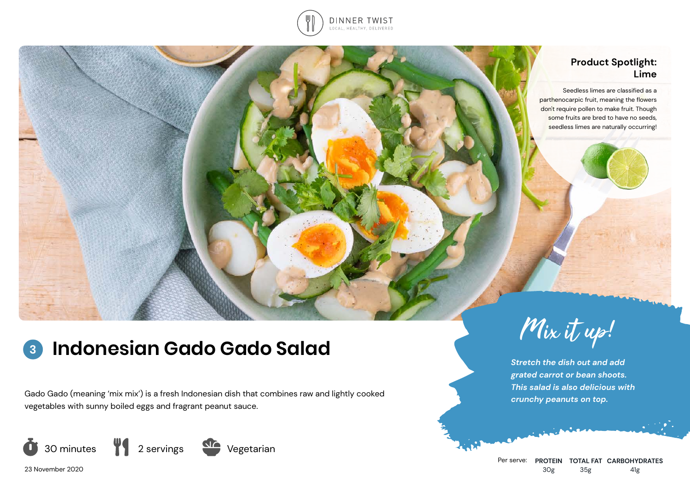

## **Product Spotlight: Lime**

Seedless limes are classified as a parthenocarpic fruit, meaning the flowers don't require pollen to make fruit. Though some fruits are bred to have no seeds, seedless limes are naturally occurring!

# **Indonesian Gado Gado Salad Mix** it up! **3**

Gado Gado (meaning 'mix mix') is a fresh Indonesian dish that combines raw and lightly cooked vegetables with sunny boiled eggs and fragrant peanut sauce.





*Stretch the dish out and add grated carrot or bean shoots. This salad is also delicious with crunchy peanuts on top.*